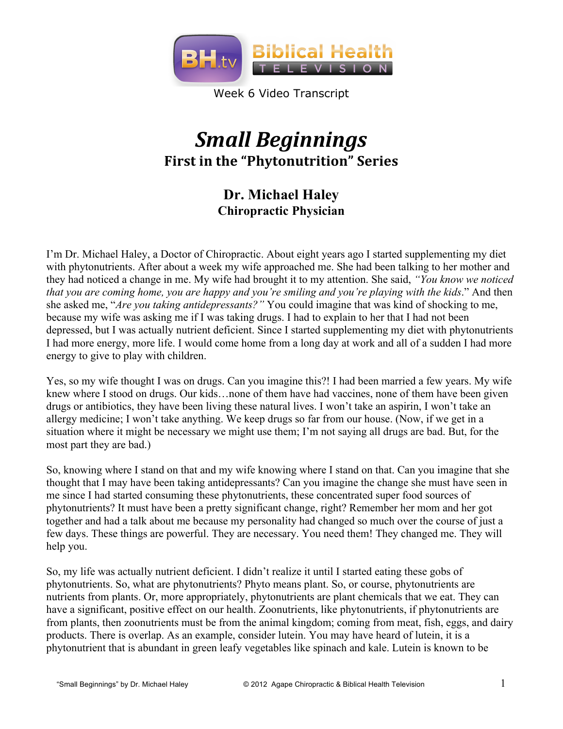

Week 6 Video Transcript

# *Small%Beginnings* **First in the "Phytonutrition" Series**

# **Dr. Michael Haley Chiropractic Physician**

I'm Dr. Michael Haley, a Doctor of Chiropractic. About eight years ago I started supplementing my diet with phytonutrients. After about a week my wife approached me. She had been talking to her mother and they had noticed a change in me. My wife had brought it to my attention. She said, *"You know we noticed that you are coming home, you are happy and you're smiling and you're playing with the kids*." And then she asked me, "*Are you taking antidepressants?"* You could imagine that was kind of shocking to me, because my wife was asking me if I was taking drugs. I had to explain to her that I had not been depressed, but I was actually nutrient deficient. Since I started supplementing my diet with phytonutrients I had more energy, more life. I would come home from a long day at work and all of a sudden I had more energy to give to play with children.

Yes, so my wife thought I was on drugs. Can you imagine this?! I had been married a few years. My wife knew where I stood on drugs. Our kids…none of them have had vaccines, none of them have been given drugs or antibiotics, they have been living these natural lives. I won't take an aspirin, I won't take an allergy medicine; I won't take anything. We keep drugs so far from our house. (Now, if we get in a situation where it might be necessary we might use them; I'm not saying all drugs are bad. But, for the most part they are bad.)

So, knowing where I stand on that and my wife knowing where I stand on that. Can you imagine that she thought that I may have been taking antidepressants? Can you imagine the change she must have seen in me since I had started consuming these phytonutrients, these concentrated super food sources of phytonutrients? It must have been a pretty significant change, right? Remember her mom and her got together and had a talk about me because my personality had changed so much over the course of just a few days. These things are powerful. They are necessary. You need them! They changed me. They will help you.

So, my life was actually nutrient deficient. I didn't realize it until I started eating these gobs of phytonutrients. So, what are phytonutrients? Phyto means plant. So, or course, phytonutrients are nutrients from plants. Or, more appropriately, phytonutrients are plant chemicals that we eat. They can have a significant, positive effect on our health. Zoonutrients, like phytonutrients, if phytonutrients are from plants, then zoonutrients must be from the animal kingdom; coming from meat, fish, eggs, and dairy products. There is overlap. As an example, consider lutein. You may have heard of lutein, it is a phytonutrient that is abundant in green leafy vegetables like spinach and kale. Lutein is known to be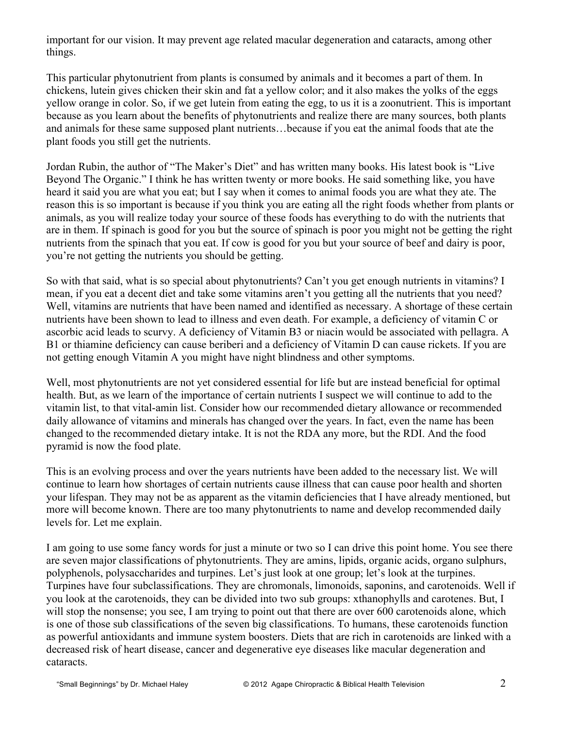important for our vision. It may prevent age related macular degeneration and cataracts, among other things.

This particular phytonutrient from plants is consumed by animals and it becomes a part of them. In chickens, lutein gives chicken their skin and fat a yellow color; and it also makes the yolks of the eggs yellow orange in color. So, if we get lutein from eating the egg, to us it is a zoonutrient. This is important because as you learn about the benefits of phytonutrients and realize there are many sources, both plants and animals for these same supposed plant nutrients…because if you eat the animal foods that ate the plant foods you still get the nutrients.

Jordan Rubin, the author of "The Maker's Diet" and has written many books. His latest book is "Live Beyond The Organic." I think he has written twenty or more books. He said something like, you have heard it said you are what you eat; but I say when it comes to animal foods you are what they ate. The reason this is so important is because if you think you are eating all the right foods whether from plants or animals, as you will realize today your source of these foods has everything to do with the nutrients that are in them. If spinach is good for you but the source of spinach is poor you might not be getting the right nutrients from the spinach that you eat. If cow is good for you but your source of beef and dairy is poor, you're not getting the nutrients you should be getting.

So with that said, what is so special about phytonutrients? Can't you get enough nutrients in vitamins? I mean, if you eat a decent diet and take some vitamins aren't you getting all the nutrients that you need? Well, vitamins are nutrients that have been named and identified as necessary. A shortage of these certain nutrients have been shown to lead to illness and even death. For example, a deficiency of vitamin C or ascorbic acid leads to scurvy. A deficiency of Vitamin B3 or niacin would be associated with pellagra. A B1 or thiamine deficiency can cause beriberi and a deficiency of Vitamin D can cause rickets. If you are not getting enough Vitamin A you might have night blindness and other symptoms.

Well, most phytonutrients are not yet considered essential for life but are instead beneficial for optimal health. But, as we learn of the importance of certain nutrients I suspect we will continue to add to the vitamin list, to that vital-amin list. Consider how our recommended dietary allowance or recommended daily allowance of vitamins and minerals has changed over the years. In fact, even the name has been changed to the recommended dietary intake. It is not the RDA any more, but the RDI. And the food pyramid is now the food plate.

This is an evolving process and over the years nutrients have been added to the necessary list. We will continue to learn how shortages of certain nutrients cause illness that can cause poor health and shorten your lifespan. They may not be as apparent as the vitamin deficiencies that I have already mentioned, but more will become known. There are too many phytonutrients to name and develop recommended daily levels for. Let me explain.

I am going to use some fancy words for just a minute or two so I can drive this point home. You see there are seven major classifications of phytonutrients. They are amins, lipids, organic acids, organo sulphurs, polyphenols, polysaccharides and turpines. Let's just look at one group; let's look at the turpines. Turpines have four subclassifications. They are chromonals, limonoids, saponins, and carotenoids. Well if you look at the carotenoids, they can be divided into two sub groups: xthanophylls and carotenes. But, I will stop the nonsense; you see, I am trying to point out that there are over 600 carotenoids alone, which is one of those sub classifications of the seven big classifications. To humans, these carotenoids function as powerful antioxidants and immune system boosters. Diets that are rich in carotenoids are linked with a decreased risk of heart disease, cancer and degenerative eye diseases like macular degeneration and cataracts.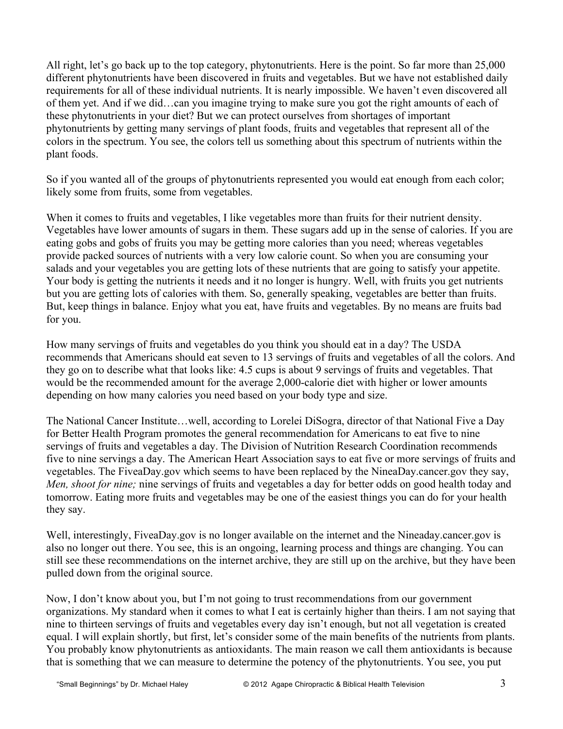All right, let's go back up to the top category, phytonutrients. Here is the point. So far more than 25,000 different phytonutrients have been discovered in fruits and vegetables. But we have not established daily requirements for all of these individual nutrients. It is nearly impossible. We haven't even discovered all of them yet. And if we did…can you imagine trying to make sure you got the right amounts of each of these phytonutrients in your diet? But we can protect ourselves from shortages of important phytonutrients by getting many servings of plant foods, fruits and vegetables that represent all of the colors in the spectrum. You see, the colors tell us something about this spectrum of nutrients within the plant foods.

So if you wanted all of the groups of phytonutrients represented you would eat enough from each color; likely some from fruits, some from vegetables.

When it comes to fruits and vegetables, I like vegetables more than fruits for their nutrient density. Vegetables have lower amounts of sugars in them. These sugars add up in the sense of calories. If you are eating gobs and gobs of fruits you may be getting more calories than you need; whereas vegetables provide packed sources of nutrients with a very low calorie count. So when you are consuming your salads and your vegetables you are getting lots of these nutrients that are going to satisfy your appetite. Your body is getting the nutrients it needs and it no longer is hungry. Well, with fruits you get nutrients but you are getting lots of calories with them. So, generally speaking, vegetables are better than fruits. But, keep things in balance. Enjoy what you eat, have fruits and vegetables. By no means are fruits bad for you.

How many servings of fruits and vegetables do you think you should eat in a day? The USDA recommends that Americans should eat seven to 13 servings of fruits and vegetables of all the colors. And they go on to describe what that looks like: 4.5 cups is about 9 servings of fruits and vegetables. That would be the recommended amount for the average 2,000-calorie diet with higher or lower amounts depending on how many calories you need based on your body type and size.

The National Cancer Institute…well, according to Lorelei DiSogra, director of that National Five a Day for Better Health Program promotes the general recommendation for Americans to eat five to nine servings of fruits and vegetables a day. The Division of Nutrition Research Coordination recommends five to nine servings a day. The American Heart Association says to eat five or more servings of fruits and vegetables. The FiveaDay.gov which seems to have been replaced by the NineaDay.cancer.gov they say, *Men, shoot for nine;* nine servings of fruits and vegetables a day for better odds on good health today and tomorrow. Eating more fruits and vegetables may be one of the easiest things you can do for your health they say.

Well, interestingly, FiveaDay.gov is no longer available on the internet and the Nineaday.cancer.gov is also no longer out there. You see, this is an ongoing, learning process and things are changing. You can still see these recommendations on the internet archive, they are still up on the archive, but they have been pulled down from the original source.

Now, I don't know about you, but I'm not going to trust recommendations from our government organizations. My standard when it comes to what I eat is certainly higher than theirs. I am not saying that nine to thirteen servings of fruits and vegetables every day isn't enough, but not all vegetation is created equal. I will explain shortly, but first, let's consider some of the main benefits of the nutrients from plants. You probably know phytonutrients as antioxidants. The main reason we call them antioxidants is because that is something that we can measure to determine the potency of the phytonutrients. You see, you put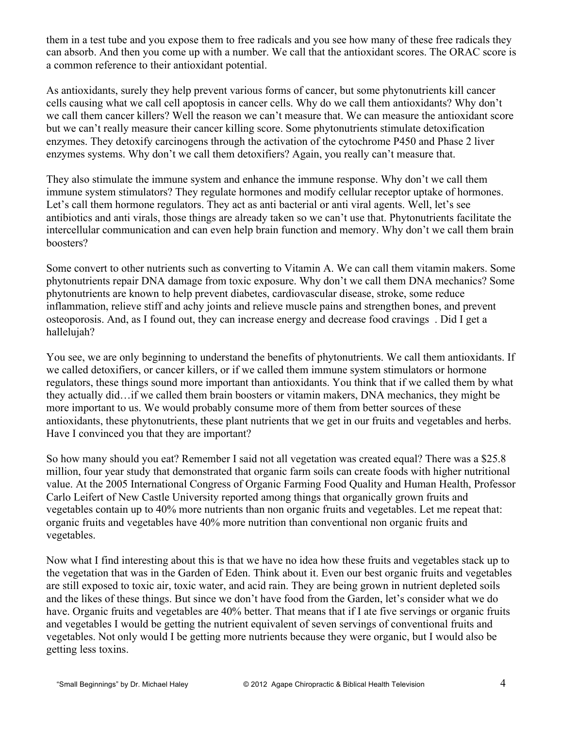them in a test tube and you expose them to free radicals and you see how many of these free radicals they can absorb. And then you come up with a number. We call that the antioxidant scores. The ORAC score is a common reference to their antioxidant potential.

As antioxidants, surely they help prevent various forms of cancer, but some phytonutrients kill cancer cells causing what we call cell apoptosis in cancer cells. Why do we call them antioxidants? Why don't we call them cancer killers? Well the reason we can't measure that. We can measure the antioxidant score but we can't really measure their cancer killing score. Some phytonutrients stimulate detoxification enzymes. They detoxify carcinogens through the activation of the cytochrome P450 and Phase 2 liver enzymes systems. Why don't we call them detoxifiers? Again, you really can't measure that.

They also stimulate the immune system and enhance the immune response. Why don't we call them immune system stimulators? They regulate hormones and modify cellular receptor uptake of hormones. Let's call them hormone regulators. They act as anti-bacterial or anti-viral agents. Well, let's see antibiotics and anti virals, those things are already taken so we can't use that. Phytonutrients facilitate the intercellular communication and can even help brain function and memory. Why don't we call them brain boosters?

Some convert to other nutrients such as converting to Vitamin A. We can call them vitamin makers. Some phytonutrients repair DNA damage from toxic exposure. Why don't we call them DNA mechanics? Some phytonutrients are known to help prevent diabetes, cardiovascular disease, stroke, some reduce inflammation, relieve stiff and achy joints and relieve muscle pains and strengthen bones, and prevent osteoporosis. And, as I found out, they can increase energy and decrease food cravings . Did I get a hallelujah?

You see, we are only beginning to understand the benefits of phytonutrients. We call them antioxidants. If we called detoxifiers, or cancer killers, or if we called them immune system stimulators or hormone regulators, these things sound more important than antioxidants. You think that if we called them by what they actually did…if we called them brain boosters or vitamin makers, DNA mechanics, they might be more important to us. We would probably consume more of them from better sources of these antioxidants, these phytonutrients, these plant nutrients that we get in our fruits and vegetables and herbs. Have I convinced you that they are important?

So how many should you eat? Remember I said not all vegetation was created equal? There was a \$25.8 million, four year study that demonstrated that organic farm soils can create foods with higher nutritional value. At the 2005 International Congress of Organic Farming Food Quality and Human Health, Professor Carlo Leifert of New Castle University reported among things that organically grown fruits and vegetables contain up to 40% more nutrients than non organic fruits and vegetables. Let me repeat that: organic fruits and vegetables have 40% more nutrition than conventional non organic fruits and vegetables.

Now what I find interesting about this is that we have no idea how these fruits and vegetables stack up to the vegetation that was in the Garden of Eden. Think about it. Even our best organic fruits and vegetables are still exposed to toxic air, toxic water, and acid rain. They are being grown in nutrient depleted soils and the likes of these things. But since we don't have food from the Garden, let's consider what we do have. Organic fruits and vegetables are 40% better. That means that if I ate five servings or organic fruits and vegetables I would be getting the nutrient equivalent of seven servings of conventional fruits and vegetables. Not only would I be getting more nutrients because they were organic, but I would also be getting less toxins.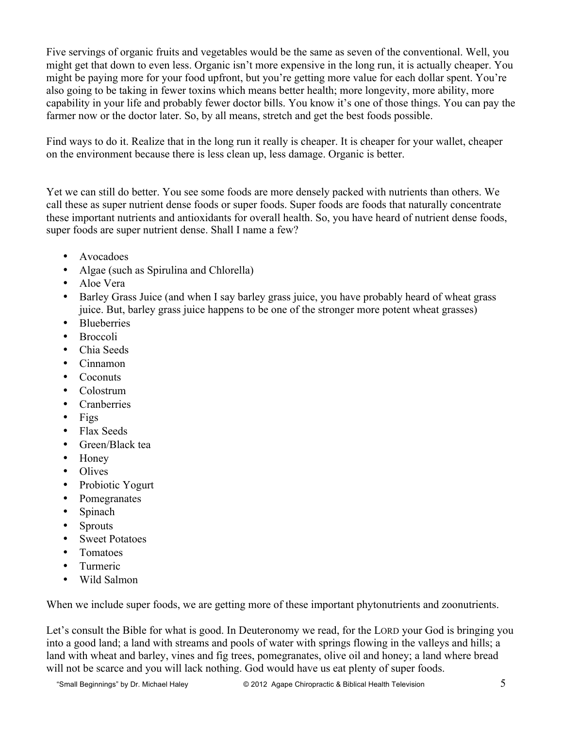Five servings of organic fruits and vegetables would be the same as seven of the conventional. Well, you might get that down to even less. Organic isn't more expensive in the long run, it is actually cheaper. You might be paying more for your food upfront, but you're getting more value for each dollar spent. You're also going to be taking in fewer toxins which means better health; more longevity, more ability, more capability in your life and probably fewer doctor bills. You know it's one of those things. You can pay the farmer now or the doctor later. So, by all means, stretch and get the best foods possible.

Find ways to do it. Realize that in the long run it really is cheaper. It is cheaper for your wallet, cheaper on the environment because there is less clean up, less damage. Organic is better.

Yet we can still do better. You see some foods are more densely packed with nutrients than others. We call these as super nutrient dense foods or super foods. Super foods are foods that naturally concentrate these important nutrients and antioxidants for overall health. So, you have heard of nutrient dense foods, super foods are super nutrient dense. Shall I name a few?

- Avocadoes
- Algae (such as Spirulina and Chlorella)
- Aloe Vera
- Barley Grass Juice (and when I say barley grass juice, you have probably heard of wheat grass juice. But, barley grass juice happens to be one of the stronger more potent wheat grasses)
- Blueberries
- Broccoli
- Chia Seeds
- Cinnamon
- Coconuts
- Colostrum
- Cranberries
- Figs
- Flax Seeds
- Green/Black tea
- Honey
- Olives
- Probiotic Yogurt
- Pomegranates
- Spinach
- Sprouts
- Sweet Potatoes
- Tomatoes
- Turmeric
- Wild Salmon

When we include super foods, we are getting more of these important phytonutrients and zoonutrients.

Let's consult the Bible for what is good. In Deuteronomy we read, for the LORD your God is bringing you into a good land; a land with streams and pools of water with springs flowing in the valleys and hills; a land with wheat and barley, vines and fig trees, pomegranates, olive oil and honey; a land where bread will not be scarce and you will lack nothing. God would have us eat plenty of super foods.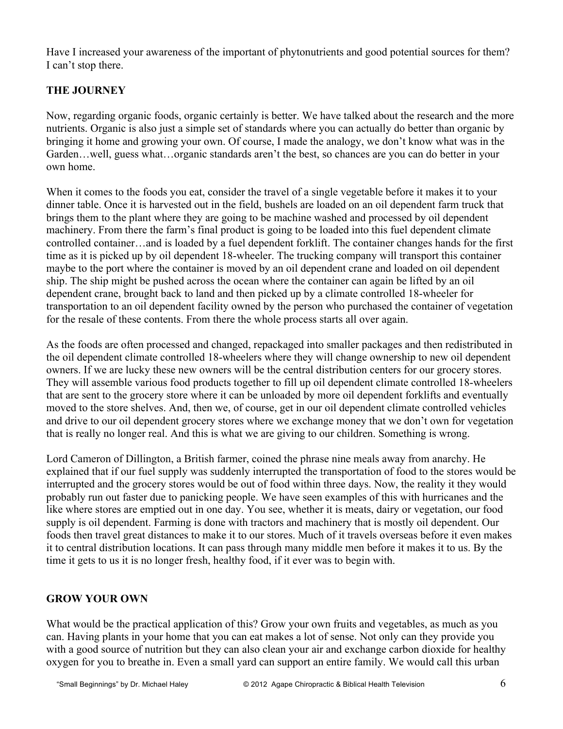Have I increased your awareness of the important of phytonutrients and good potential sources for them? I can't stop there.

## **THE JOURNEY**

Now, regarding organic foods, organic certainly is better. We have talked about the research and the more nutrients. Organic is also just a simple set of standards where you can actually do better than organic by bringing it home and growing your own. Of course, I made the analogy, we don't know what was in the Garden…well, guess what…organic standards aren't the best, so chances are you can do better in your own home.

When it comes to the foods you eat, consider the travel of a single vegetable before it makes it to your dinner table. Once it is harvested out in the field, bushels are loaded on an oil dependent farm truck that brings them to the plant where they are going to be machine washed and processed by oil dependent machinery. From there the farm's final product is going to be loaded into this fuel dependent climate controlled container…and is loaded by a fuel dependent forklift. The container changes hands for the first time as it is picked up by oil dependent 18-wheeler. The trucking company will transport this container maybe to the port where the container is moved by an oil dependent crane and loaded on oil dependent ship. The ship might be pushed across the ocean where the container can again be lifted by an oil dependent crane, brought back to land and then picked up by a climate controlled 18-wheeler for transportation to an oil dependent facility owned by the person who purchased the container of vegetation for the resale of these contents. From there the whole process starts all over again.

As the foods are often processed and changed, repackaged into smaller packages and then redistributed in the oil dependent climate controlled 18-wheelers where they will change ownership to new oil dependent owners. If we are lucky these new owners will be the central distribution centers for our grocery stores. They will assemble various food products together to fill up oil dependent climate controlled 18-wheelers that are sent to the grocery store where it can be unloaded by more oil dependent forklifts and eventually moved to the store shelves. And, then we, of course, get in our oil dependent climate controlled vehicles and drive to our oil dependent grocery stores where we exchange money that we don't own for vegetation that is really no longer real. And this is what we are giving to our children. Something is wrong.

Lord Cameron of Dillington, a British farmer, coined the phrase nine meals away from anarchy. He explained that if our fuel supply was suddenly interrupted the transportation of food to the stores would be interrupted and the grocery stores would be out of food within three days. Now, the reality it they would probably run out faster due to panicking people. We have seen examples of this with hurricanes and the like where stores are emptied out in one day. You see, whether it is meats, dairy or vegetation, our food supply is oil dependent. Farming is done with tractors and machinery that is mostly oil dependent. Our foods then travel great distances to make it to our stores. Much of it travels overseas before it even makes it to central distribution locations. It can pass through many middle men before it makes it to us. By the time it gets to us it is no longer fresh, healthy food, if it ever was to begin with.

## **GROW YOUR OWN**

What would be the practical application of this? Grow your own fruits and vegetables, as much as you can. Having plants in your home that you can eat makes a lot of sense. Not only can they provide you with a good source of nutrition but they can also clean your air and exchange carbon dioxide for healthy oxygen for you to breathe in. Even a small yard can support an entire family. We would call this urban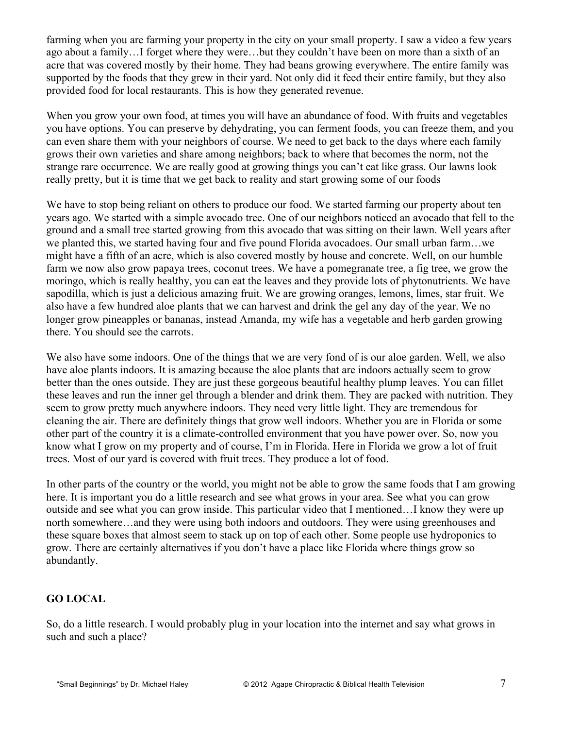farming when you are farming your property in the city on your small property. I saw a video a few years ago about a family…I forget where they were…but they couldn't have been on more than a sixth of an acre that was covered mostly by their home. They had beans growing everywhere. The entire family was supported by the foods that they grew in their yard. Not only did it feed their entire family, but they also provided food for local restaurants. This is how they generated revenue.

When you grow your own food, at times you will have an abundance of food. With fruits and vegetables you have options. You can preserve by dehydrating, you can ferment foods, you can freeze them, and you can even share them with your neighbors of course. We need to get back to the days where each family grows their own varieties and share among neighbors; back to where that becomes the norm, not the strange rare occurrence. We are really good at growing things you can't eat like grass. Our lawns look really pretty, but it is time that we get back to reality and start growing some of our foods

We have to stop being reliant on others to produce our food. We started farming our property about ten years ago. We started with a simple avocado tree. One of our neighbors noticed an avocado that fell to the ground and a small tree started growing from this avocado that was sitting on their lawn. Well years after we planted this, we started having four and five pound Florida avocadoes. Our small urban farm…we might have a fifth of an acre, which is also covered mostly by house and concrete. Well, on our humble farm we now also grow papaya trees, coconut trees. We have a pomegranate tree, a fig tree, we grow the moringo, which is really healthy, you can eat the leaves and they provide lots of phytonutrients. We have sapodilla, which is just a delicious amazing fruit. We are growing oranges, lemons, limes, star fruit. We also have a few hundred aloe plants that we can harvest and drink the gel any day of the year. We no longer grow pineapples or bananas, instead Amanda, my wife has a vegetable and herb garden growing there. You should see the carrots.

We also have some indoors. One of the things that we are very fond of is our aloe garden. Well, we also have aloe plants indoors. It is amazing because the aloe plants that are indoors actually seem to grow better than the ones outside. They are just these gorgeous beautiful healthy plump leaves. You can fillet these leaves and run the inner gel through a blender and drink them. They are packed with nutrition. They seem to grow pretty much anywhere indoors. They need very little light. They are tremendous for cleaning the air. There are definitely things that grow well indoors. Whether you are in Florida or some other part of the country it is a climate-controlled environment that you have power over. So, now you know what I grow on my property and of course, I'm in Florida. Here in Florida we grow a lot of fruit trees. Most of our yard is covered with fruit trees. They produce a lot of food.

In other parts of the country or the world, you might not be able to grow the same foods that I am growing here. It is important you do a little research and see what grows in your area. See what you can grow outside and see what you can grow inside. This particular video that I mentioned…I know they were up north somewhere…and they were using both indoors and outdoors. They were using greenhouses and these square boxes that almost seem to stack up on top of each other. Some people use hydroponics to grow. There are certainly alternatives if you don't have a place like Florida where things grow so abundantly.

#### **GO LOCAL**

So, do a little research. I would probably plug in your location into the internet and say what grows in such and such a place?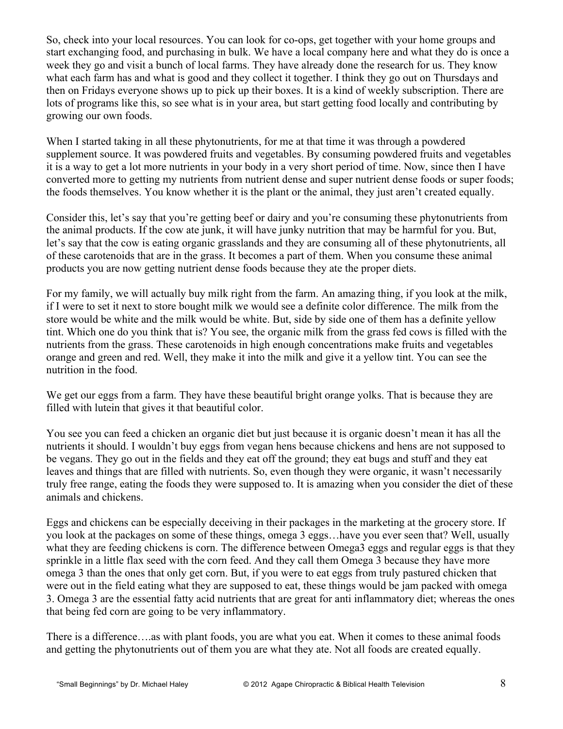So, check into your local resources. You can look for co-ops, get together with your home groups and start exchanging food, and purchasing in bulk. We have a local company here and what they do is once a week they go and visit a bunch of local farms. They have already done the research for us. They know what each farm has and what is good and they collect it together. I think they go out on Thursdays and then on Fridays everyone shows up to pick up their boxes. It is a kind of weekly subscription. There are lots of programs like this, so see what is in your area, but start getting food locally and contributing by growing our own foods.

When I started taking in all these phytonutrients, for me at that time it was through a powdered supplement source. It was powdered fruits and vegetables. By consuming powdered fruits and vegetables it is a way to get a lot more nutrients in your body in a very short period of time. Now, since then I have converted more to getting my nutrients from nutrient dense and super nutrient dense foods or super foods; the foods themselves. You know whether it is the plant or the animal, they just aren't created equally.

Consider this, let's say that you're getting beef or dairy and you're consuming these phytonutrients from the animal products. If the cow ate junk, it will have junky nutrition that may be harmful for you. But, let's say that the cow is eating organic grasslands and they are consuming all of these phytonutrients, all of these carotenoids that are in the grass. It becomes a part of them. When you consume these animal products you are now getting nutrient dense foods because they ate the proper diets.

For my family, we will actually buy milk right from the farm. An amazing thing, if you look at the milk, if I were to set it next to store bought milk we would see a definite color difference. The milk from the store would be white and the milk would be white. But, side by side one of them has a definite yellow tint. Which one do you think that is? You see, the organic milk from the grass fed cows is filled with the nutrients from the grass. These carotenoids in high enough concentrations make fruits and vegetables orange and green and red. Well, they make it into the milk and give it a yellow tint. You can see the nutrition in the food.

We get our eggs from a farm. They have these beautiful bright orange yolks. That is because they are filled with lutein that gives it that beautiful color.

You see you can feed a chicken an organic diet but just because it is organic doesn't mean it has all the nutrients it should. I wouldn't buy eggs from vegan hens because chickens and hens are not supposed to be vegans. They go out in the fields and they eat off the ground; they eat bugs and stuff and they eat leaves and things that are filled with nutrients. So, even though they were organic, it wasn't necessarily truly free range, eating the foods they were supposed to. It is amazing when you consider the diet of these animals and chickens.

Eggs and chickens can be especially deceiving in their packages in the marketing at the grocery store. If you look at the packages on some of these things, omega 3 eggs…have you ever seen that? Well, usually what they are feeding chickens is corn. The difference between Omega3 eggs and regular eggs is that they sprinkle in a little flax seed with the corn feed. And they call them Omega 3 because they have more omega 3 than the ones that only get corn. But, if you were to eat eggs from truly pastured chicken that were out in the field eating what they are supposed to eat, these things would be jam packed with omega 3. Omega 3 are the essential fatty acid nutrients that are great for anti inflammatory diet; whereas the ones that being fed corn are going to be very inflammatory.

There is a difference….as with plant foods, you are what you eat. When it comes to these animal foods and getting the phytonutrients out of them you are what they ate. Not all foods are created equally.